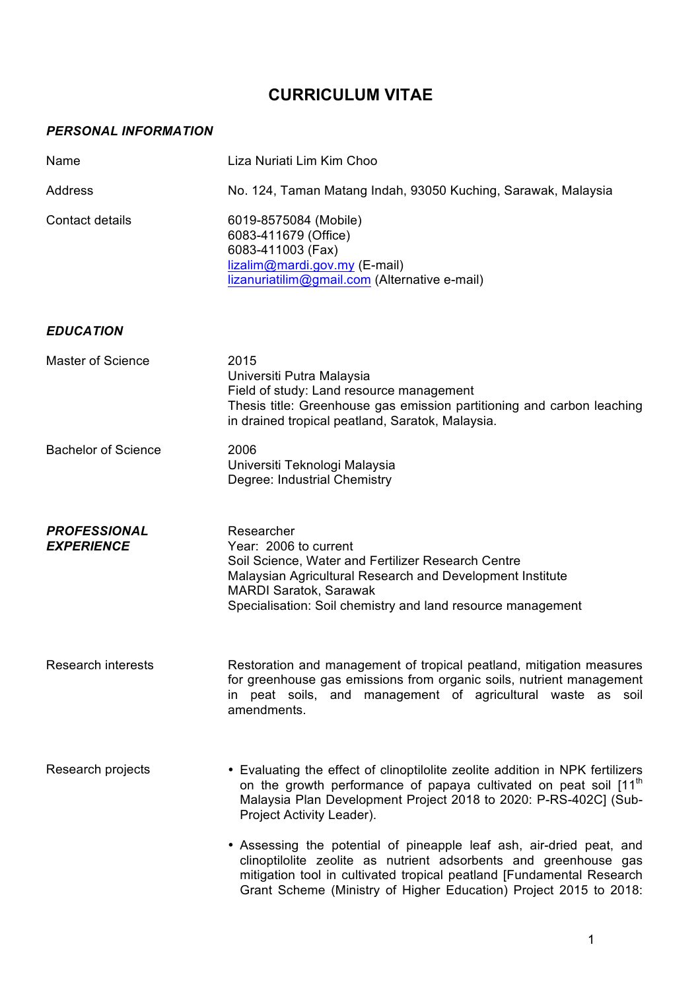## **CURRICULUM VITAE**

## *PERSONAL INFORMATION*

| Name                                     | Liza Nuriati Lim Kim Choo                                                                                                                                                                                                                                                              |
|------------------------------------------|----------------------------------------------------------------------------------------------------------------------------------------------------------------------------------------------------------------------------------------------------------------------------------------|
| Address                                  | No. 124, Taman Matang Indah, 93050 Kuching, Sarawak, Malaysia                                                                                                                                                                                                                          |
| <b>Contact details</b>                   | 6019-8575084 (Mobile)<br>6083-411679 (Office)<br>6083-411003 (Fax)<br>lizalim@mardi.gov.my (E-mail)<br>lizanuriatilim@gmail.com (Alternative e-mail)                                                                                                                                   |
| <b>EDUCATION</b>                         |                                                                                                                                                                                                                                                                                        |
| <b>Master of Science</b>                 | 2015<br>Universiti Putra Malaysia<br>Field of study: Land resource management<br>Thesis title: Greenhouse gas emission partitioning and carbon leaching<br>in drained tropical peatland, Saratok, Malaysia.                                                                            |
| <b>Bachelor of Science</b>               | 2006<br>Universiti Teknologi Malaysia<br>Degree: Industrial Chemistry                                                                                                                                                                                                                  |
| <b>PROFESSIONAL</b><br><b>EXPERIENCE</b> | Researcher<br>Year: 2006 to current<br>Soil Science, Water and Fertilizer Research Centre<br>Malaysian Agricultural Research and Development Institute<br>MARDI Saratok, Sarawak<br>Specialisation: Soil chemistry and land resource management                                        |
| Research interests                       | Restoration and management of tropical peatland, mitigation measures<br>for greenhouse gas emissions from organic soils, nutrient management<br>in peat soils, and management of agricultural waste as soil<br>amendments.                                                             |
| Research projects                        | • Evaluating the effect of clinoptilolite zeolite addition in NPK fertilizers<br>on the growth performance of papaya cultivated on peat soil [11 <sup>th</sup><br>Malaysia Plan Development Project 2018 to 2020: P-RS-402C] (Sub-<br>Project Activity Leader).                        |
|                                          | • Assessing the potential of pineapple leaf ash, air-dried peat, and<br>clinoptilolite zeolite as nutrient adsorbents and greenhouse gas<br>mitigation tool in cultivated tropical peatland [Fundamental Research<br>Grant Scheme (Ministry of Higher Education) Project 2015 to 2018: |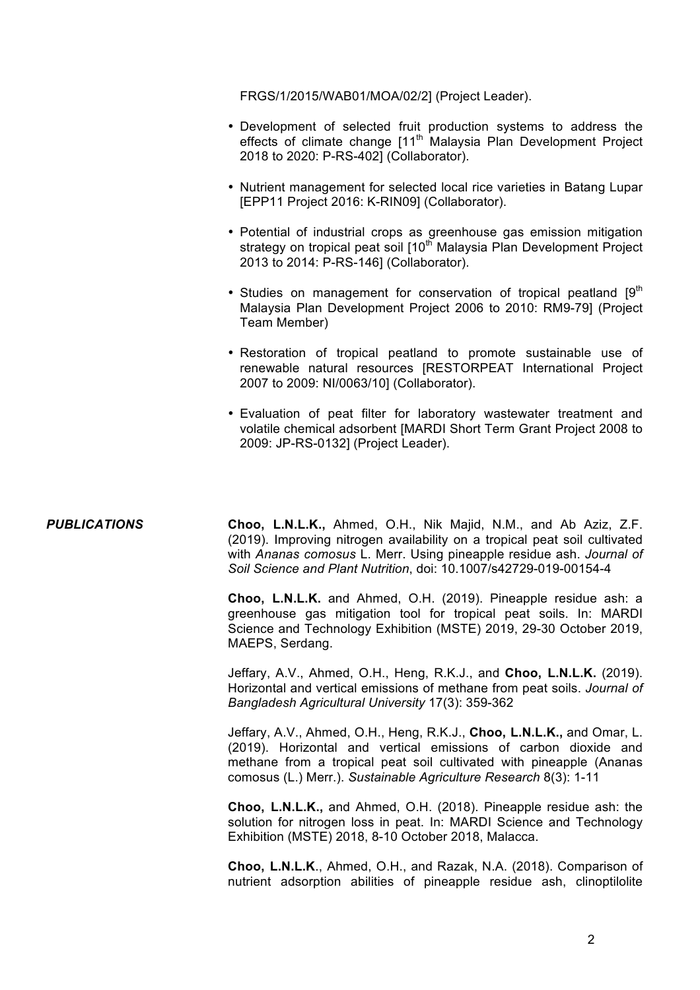FRGS/1/2015/WAB01/MOA/02/2] (Project Leader).

- Development of selected fruit production systems to address the effects of climate change [11<sup>th</sup> Malaysia Plan Development Project 2018 to 2020: P-RS-402] (Collaborator).
- Nutrient management for selected local rice varieties in Batang Lupar [EPP11 Project 2016: K-RIN09] (Collaborator).
- Potential of industrial crops as greenhouse gas emission mitigation strategy on tropical peat soil [10<sup>th</sup> Malaysia Plan Development Project 2013 to 2014: P-RS-146] (Collaborator).
- Studies on management for conservation of tropical peatland  $[9<sup>th</sup>]$ Malaysia Plan Development Project 2006 to 2010: RM9-79] (Project Team Member)
- Restoration of tropical peatland to promote sustainable use of renewable natural resources [RESTORPEAT International Project 2007 to 2009: NI/0063/10] (Collaborator).
- Evaluation of peat filter for laboratory wastewater treatment and volatile chemical adsorbent [MARDI Short Term Grant Project 2008 to 2009: JP-RS-0132] (Project Leader).

*PUBLICATIONS* **Choo, L.N.L.K.,** Ahmed, O.H., Nik Majid, N.M., and Ab Aziz, Z.F. (2019). Improving nitrogen availability on a tropical peat soil cultivated with *Ananas comosus* L. Merr. Using pineapple residue ash. *Journal of Soil Science and Plant Nutrition*, doi: 10.1007/s42729-019-00154-4

> **Choo, L.N.L.K.** and Ahmed, O.H. (2019). Pineapple residue ash: a greenhouse gas mitigation tool for tropical peat soils. In: MARDI Science and Technology Exhibition (MSTE) 2019, 29-30 October 2019, MAEPS, Serdang.

> Jeffary, A.V., Ahmed, O.H., Heng, R.K.J., and **Choo, L.N.L.K.** (2019). Horizontal and vertical emissions of methane from peat soils. *Journal of Bangladesh Agricultural University* 17(3): 359-362

> Jeffary, A.V., Ahmed, O.H., Heng, R.K.J., **Choo, L.N.L.K.,** and Omar, L. (2019). Horizontal and vertical emissions of carbon dioxide and methane from a tropical peat soil cultivated with pineapple (Ananas comosus (L.) Merr.). *Sustainable Agriculture Research* 8(3): 1-11

> **Choo, L.N.L.K.,** and Ahmed, O.H. (2018). Pineapple residue ash: the solution for nitrogen loss in peat. In: MARDI Science and Technology Exhibition (MSTE) 2018, 8-10 October 2018, Malacca.

> **Choo, L.N.L.K**., Ahmed, O.H., and Razak, N.A. (2018). Comparison of nutrient adsorption abilities of pineapple residue ash, clinoptilolite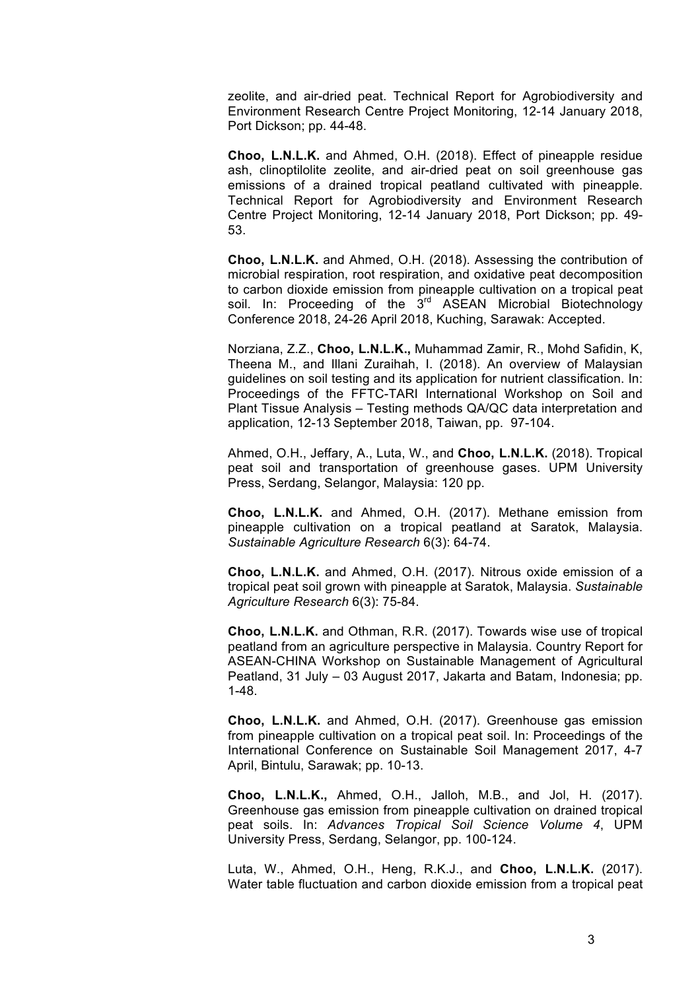zeolite, and air-dried peat. Technical Report for Agrobiodiversity and Environment Research Centre Project Monitoring, 12-14 January 2018, Port Dickson; pp. 44-48.

**Choo, L.N.L.K.** and Ahmed, O.H. (2018). Effect of pineapple residue ash, clinoptilolite zeolite, and air-dried peat on soil greenhouse gas emissions of a drained tropical peatland cultivated with pineapple. Technical Report for Agrobiodiversity and Environment Research Centre Project Monitoring, 12-14 January 2018, Port Dickson; pp. 49- 53.

**Choo, L.N.L.K.** and Ahmed, O.H. (2018). Assessing the contribution of microbial respiration, root respiration, and oxidative peat decomposition to carbon dioxide emission from pineapple cultivation on a tropical peat soil. In: Proceeding of the 3<sup>rd</sup> ASEAN Microbial Biotechnology Conference 2018, 24-26 April 2018, Kuching, Sarawak: Accepted.

Norziana, Z.Z., **Choo, L.N.L.K.,** Muhammad Zamir, R., Mohd Safidin, K, Theena M., and Illani Zuraihah, I. (2018). An overview of Malaysian guidelines on soil testing and its application for nutrient classification. In: Proceedings of the FFTC-TARI International Workshop on Soil and Plant Tissue Analysis – Testing methods QA/QC data interpretation and application, 12-13 September 2018, Taiwan, pp. 97-104.

Ahmed, O.H., Jeffary, A., Luta, W., and **Choo, L.N.L.K.** (2018). Tropical peat soil and transportation of greenhouse gases. UPM University Press, Serdang, Selangor, Malaysia: 120 pp.

**Choo, L.N.L.K.** and Ahmed, O.H. (2017). Methane emission from pineapple cultivation on a tropical peatland at Saratok, Malaysia. *Sustainable Agriculture Research* 6(3): 64-74.

**Choo, L.N.L.K.** and Ahmed, O.H. (2017). Nitrous oxide emission of a tropical peat soil grown with pineapple at Saratok, Malaysia. *Sustainable Agriculture Research* 6(3): 75-84.

**Choo, L.N.L.K.** and Othman, R.R. (2017). Towards wise use of tropical peatland from an agriculture perspective in Malaysia. Country Report for ASEAN-CHINA Workshop on Sustainable Management of Agricultural Peatland, 31 July – 03 August 2017, Jakarta and Batam, Indonesia; pp. 1-48.

**Choo, L.N.L.K.** and Ahmed, O.H. (2017). Greenhouse gas emission from pineapple cultivation on a tropical peat soil. In: Proceedings of the International Conference on Sustainable Soil Management 2017, 4-7 April, Bintulu, Sarawak; pp. 10-13.

**Choo, L.N.L.K.,** Ahmed, O.H., Jalloh, M.B., and Jol, H. (2017). Greenhouse gas emission from pineapple cultivation on drained tropical peat soils. In: *Advances Tropical Soil Science Volume 4*, UPM University Press, Serdang, Selangor, pp. 100-124.

Luta, W., Ahmed, O.H., Heng, R.K.J., and **Choo, L.N.L.K.** (2017). Water table fluctuation and carbon dioxide emission from a tropical peat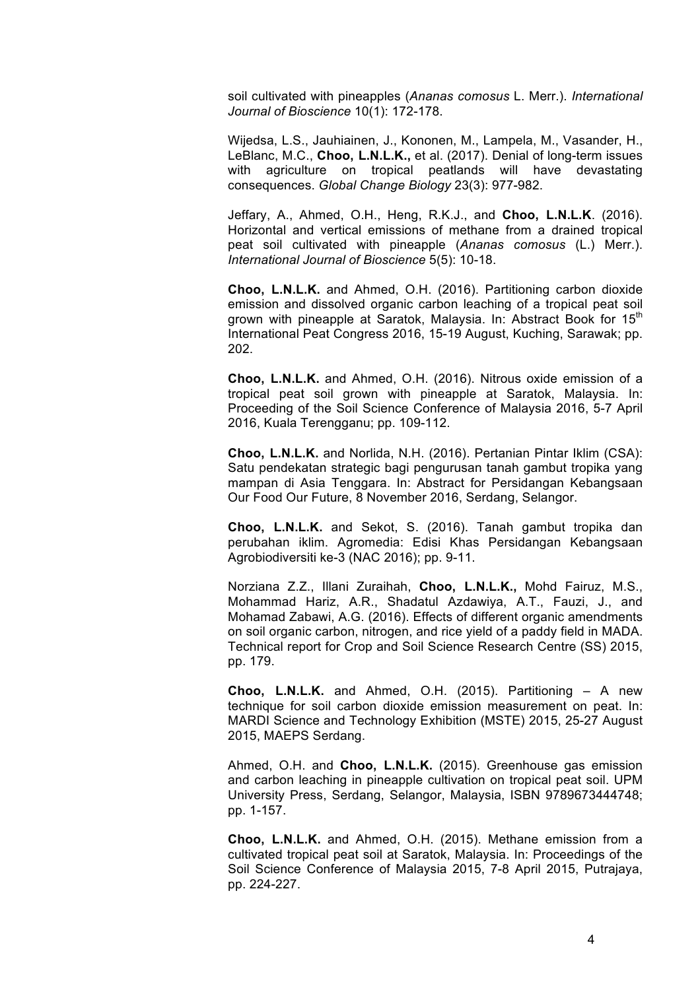soil cultivated with pineapples (*Ananas comosus* L. Merr.). *International Journal of Bioscience* 10(1): 172-178.

Wijedsa, L.S., Jauhiainen, J., Kononen, M., Lampela, M., Vasander, H., LeBlanc, M.C., **Choo, L.N.L.K.,** et al. (2017). Denial of long-term issues with agriculture on tropical peatlands will have devastating consequences. *Global Change Biology* 23(3): 977-982.

Jeffary, A., Ahmed, O.H., Heng, R.K.J., and **Choo, L.N.L.K**. (2016). Horizontal and vertical emissions of methane from a drained tropical peat soil cultivated with pineapple (*Ananas comosus* (L.) Merr.). *International Journal of Bioscience* 5(5): 10-18.

**Choo, L.N.L.K.** and Ahmed, O.H. (2016). Partitioning carbon dioxide emission and dissolved organic carbon leaching of a tropical peat soil grown with pineapple at Saratok, Malaysia. In: Abstract Book for 15<sup>th</sup> International Peat Congress 2016, 15-19 August, Kuching, Sarawak; pp. 202.

**Choo, L.N.L.K.** and Ahmed, O.H. (2016). Nitrous oxide emission of a tropical peat soil grown with pineapple at Saratok, Malaysia. In: Proceeding of the Soil Science Conference of Malaysia 2016, 5-7 April 2016, Kuala Terengganu; pp. 109-112.

**Choo, L.N.L.K.** and Norlida, N.H. (2016). Pertanian Pintar Iklim (CSA): Satu pendekatan strategic bagi pengurusan tanah gambut tropika yang mampan di Asia Tenggara. In: Abstract for Persidangan Kebangsaan Our Food Our Future, 8 November 2016, Serdang, Selangor.

**Choo, L.N.L.K.** and Sekot, S. (2016). Tanah gambut tropika dan perubahan iklim. Agromedia: Edisi Khas Persidangan Kebangsaan Agrobiodiversiti ke-3 (NAC 2016); pp. 9-11.

Norziana Z.Z., Illani Zuraihah, **Choo, L.N.L.K.,** Mohd Fairuz, M.S., Mohammad Hariz, A.R., Shadatul Azdawiya, A.T., Fauzi, J., and Mohamad Zabawi, A.G. (2016). Effects of different organic amendments on soil organic carbon, nitrogen, and rice yield of a paddy field in MADA. Technical report for Crop and Soil Science Research Centre (SS) 2015, pp. 179.

**Choo, L.N.L.K.** and Ahmed, O.H. (2015). Partitioning – A new technique for soil carbon dioxide emission measurement on peat. In: MARDI Science and Technology Exhibition (MSTE) 2015, 25-27 August 2015, MAEPS Serdang.

Ahmed, O.H. and **Choo, L.N.L.K.** (2015). Greenhouse gas emission and carbon leaching in pineapple cultivation on tropical peat soil. UPM University Press, Serdang, Selangor, Malaysia, ISBN 9789673444748; pp. 1-157.

**Choo, L.N.L.K.** and Ahmed, O.H. (2015). Methane emission from a cultivated tropical peat soil at Saratok, Malaysia. In: Proceedings of the Soil Science Conference of Malaysia 2015, 7-8 April 2015, Putrajaya, pp. 224-227.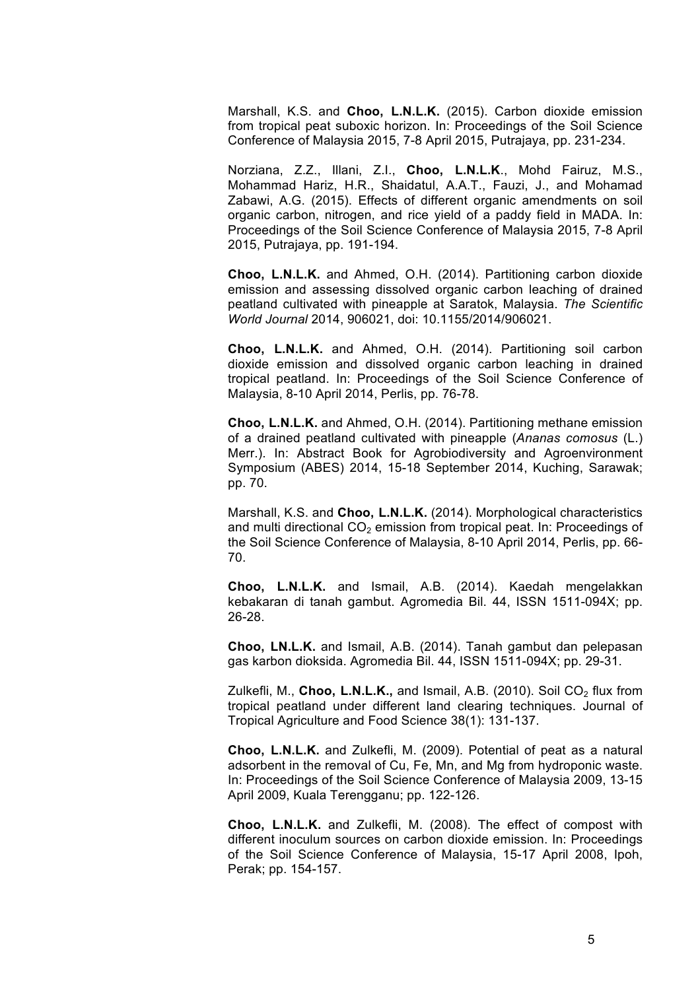Marshall, K.S. and **Choo, L.N.L.K.** (2015). Carbon dioxide emission from tropical peat suboxic horizon. In: Proceedings of the Soil Science Conference of Malaysia 2015, 7-8 April 2015, Putrajaya, pp. 231-234.

Norziana, Z.Z., Illani, Z.I., **Choo, L.N.L.K**., Mohd Fairuz, M.S., Mohammad Hariz, H.R., Shaidatul, A.A.T., Fauzi, J., and Mohamad Zabawi, A.G. (2015). Effects of different organic amendments on soil organic carbon, nitrogen, and rice yield of a paddy field in MADA. In: Proceedings of the Soil Science Conference of Malaysia 2015, 7-8 April 2015, Putrajaya, pp. 191-194.

**Choo, L.N.L.K.** and Ahmed, O.H. (2014). Partitioning carbon dioxide emission and assessing dissolved organic carbon leaching of drained peatland cultivated with pineapple at Saratok, Malaysia. *The Scientific World Journal* 2014, 906021, doi: 10.1155/2014/906021.

**Choo, L.N.L.K.** and Ahmed, O.H. (2014). Partitioning soil carbon dioxide emission and dissolved organic carbon leaching in drained tropical peatland. In: Proceedings of the Soil Science Conference of Malaysia, 8-10 April 2014, Perlis, pp. 76-78.

**Choo, L.N.L.K.** and Ahmed, O.H. (2014). Partitioning methane emission of a drained peatland cultivated with pineapple (*Ananas comosus* (L.) Merr.). In: Abstract Book for Agrobiodiversity and Agroenvironment Symposium (ABES) 2014, 15-18 September 2014, Kuching, Sarawak; pp. 70.

Marshall, K.S. and **Choo, L.N.L.K.** (2014). Morphological characteristics and multi directional  $CO<sub>2</sub>$  emission from tropical peat. In: Proceedings of the Soil Science Conference of Malaysia, 8-10 April 2014, Perlis, pp. 66- 70.

**Choo, L.N.L.K.** and Ismail, A.B. (2014). Kaedah mengelakkan kebakaran di tanah gambut. Agromedia Bil. 44, ISSN 1511-094X; pp. 26-28.

**Choo, LN.L.K.** and Ismail, A.B. (2014). Tanah gambut dan pelepasan gas karbon dioksida. Agromedia Bil. 44, ISSN 1511-094X; pp. 29-31.

Zulkefli, M., Choo, L.N.L.K., and Ismail, A.B. (2010). Soil CO<sub>2</sub> flux from tropical peatland under different land clearing techniques. Journal of Tropical Agriculture and Food Science 38(1): 131-137.

**Choo, L.N.L.K.** and Zulkefli, M. (2009). Potential of peat as a natural adsorbent in the removal of Cu, Fe, Mn, and Mg from hydroponic waste. In: Proceedings of the Soil Science Conference of Malaysia 2009, 13-15 April 2009, Kuala Terengganu; pp. 122-126.

**Choo, L.N.L.K.** and Zulkefli, M. (2008). The effect of compost with different inoculum sources on carbon dioxide emission. In: Proceedings of the Soil Science Conference of Malaysia, 15-17 April 2008, Ipoh, Perak; pp. 154-157.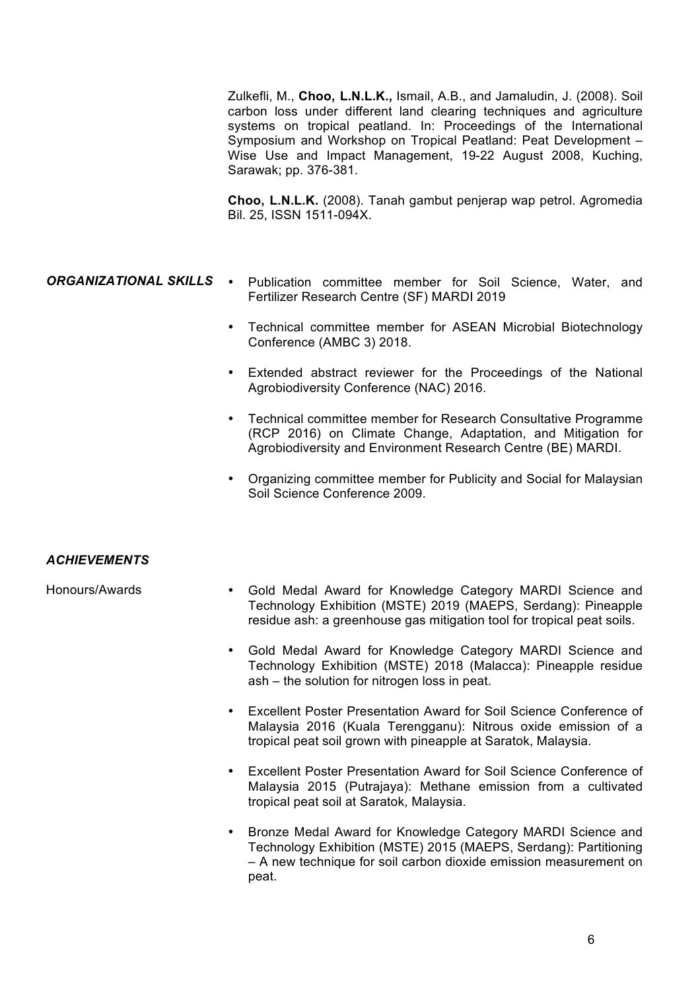Zulkefli, M., **Choo, L.N.L.K.,** Ismail, A.B., and Jamaludin, J. (2008). Soil carbon loss under different land clearing techniques and agriculture systems on tropical peatland. In: Proceedings of the International Symposium and Workshop on Tropical Peatland: Peat Development – Wise Use and Impact Management, 19-22 August 2008, Kuching, Sarawak; pp. 376-381.

**Choo, L.N.L.K.** (2008). Tanah gambut penjerap wap petrol. Agromedia Bil. 25, ISSN 1511-094X.

- **ORGANIZATIONAL SKILLS •** Publication committee member for Soil Science, Water, and Fertilizer Research Centre (SF) MARDI 2019
	- Technical committee member for ASEAN Microbial Biotechnology Conference (AMBC 3) 2018.
	- Extended abstract reviewer for the Proceedings of the National Agrobiodiversity Conference (NAC) 2016.
	- Technical committee member for Research Consultative Programme (RCP 2016) on Climate Change, Adaptation, and Mitigation for Agrobiodiversity and Environment Research Centre (BE) MARDI.
	- Organizing committee member for Publicity and Social for Malaysian Soil Science Conference 2009.

## *ACHIEVEMENTS*

- Honours/Awards Gold Medal Award for Knowledge Category MARDI Science and Technology Exhibition (MSTE) 2019 (MAEPS, Serdang): Pineapple residue ash: a greenhouse gas mitigation tool for tropical peat soils.
	- Gold Medal Award for Knowledge Category MARDI Science and Technology Exhibition (MSTE) 2018 (Malacca): Pineapple residue ash – the solution for nitrogen loss in peat.
	- Excellent Poster Presentation Award for Soil Science Conference of Malaysia 2016 (Kuala Terengganu): Nitrous oxide emission of a tropical peat soil grown with pineapple at Saratok, Malaysia.
	- Excellent Poster Presentation Award for Soil Science Conference of Malaysia 2015 (Putrajaya): Methane emission from a cultivated tropical peat soil at Saratok, Malaysia.
	- Bronze Medal Award for Knowledge Category MARDI Science and Technology Exhibition (MSTE) 2015 (MAEPS, Serdang): Partitioning – A new technique for soil carbon dioxide emission measurement on peat.